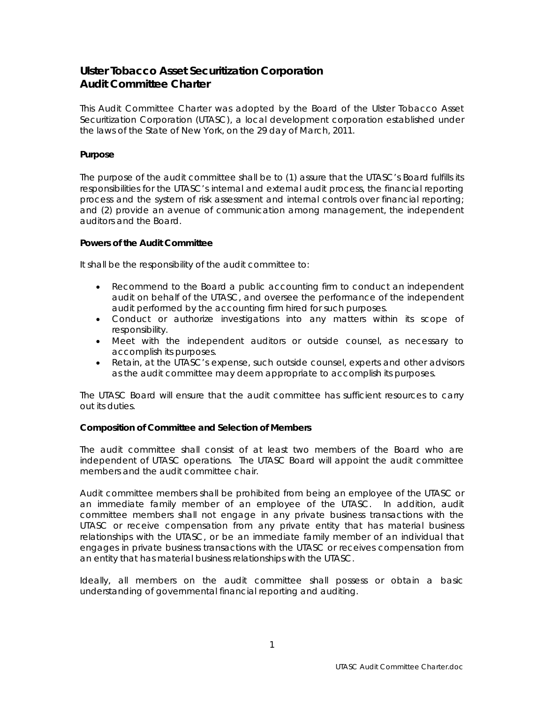# **Ulster Tobacco Asset Securitization Corporation Audit Committee Charter**

This Audit Committee Charter was adopted by the Board of the Ulster Tobacco Asset Securitization Corporation (UTASC), a local development corporation established under the laws of the State of New York, on the 29 day of March, 2011.

## **Purpose**

The purpose of the audit committee shall be to (1) assure that the UTASC's Board fulfills its responsibilities for the UTASC's internal and external audit process, the financial reporting process and the system of risk assessment and internal controls over financial reporting; and (2) provide an avenue of communication among management, the independent auditors and the Board.

## **Powers of the Audit Committee**

It shall be the responsibility of the audit committee to:

- Recommend to the Board a public accounting firm to conduct an independent audit on behalf of the UTASC, and oversee the performance of the independent audit performed by the accounting firm hired for such purposes.
- Conduct or authorize investigations into any matters within its scope of responsibility.
- Meet with the independent auditors or outside counsel, as necessary to accomplish its purposes.
- Retain, at the UTASC's expense, such outside counsel, experts and other advisors as the audit committee may deem appropriate to accomplish its purposes.

The UTASC Board will ensure that the audit committee has sufficient resources to carry out its duties.

## **Composition of Committee and Selection of Members**

The audit committee shall consist of at least two members of the Board who are independent of UTASC operations. The UTASC Board will appoint the audit committee members and the audit committee chair.

Audit committee members shall be prohibited from being an employee of the UTASC or an immediate family member of an employee of the UTASC. In addition, audit committee members shall not engage in any private business transactions with the UTASC or receive compensation from any private entity that has material business relationships with the UTASC, or be an immediate family member of an individual that engages in private business transactions with the UTASC or receives compensation from an entity that has material business relationships with the UTASC.

Ideally, all members on the audit committee shall possess or obtain a basic understanding of governmental financial reporting and auditing.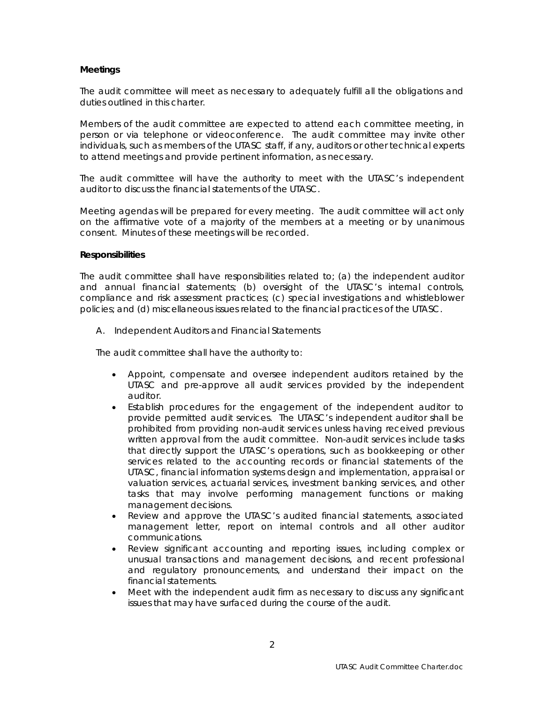#### **Meetings**

The audit committee will meet as necessary to adequately fulfill all the obligations and duties outlined in this charter.

Members of the audit committee are expected to attend each committee meeting, in person or via telephone or videoconference. The audit committee may invite other individuals, such as members of the UTASC staff, if any, auditors or other technical experts to attend meetings and provide pertinent information, as necessary.

The audit committee will have the authority to meet with the UTASC's independent auditor to discuss the financial statements of the UTASC.

Meeting agendas will be prepared for every meeting. The audit committee will act only on the affirmative vote of a majority of the members at a meeting or by unanimous consent. Minutes of these meetings will be recorded.

#### **Responsibilities**

The audit committee shall have responsibilities related to; (a) the independent auditor and annual financial statements; (b) oversight of the UTASC's internal controls, compliance and risk assessment practices; (c) special investigations and whistleblower policies; and (d) miscellaneous issues related to the financial practices of the UTASC.

A. Independent Auditors and Financial Statements

The audit committee shall have the authority to:

- Appoint, compensate and oversee independent auditors retained by the UTASC and pre-approve all audit services provided by the independent auditor.
- Establish procedures for the engagement of the independent auditor to provide permitted audit services. The UTASC's independent auditor shall be prohibited from providing non-audit services unless having received previous written approval from the audit committee. Non-audit services include tasks that directly support the UTASC's operations, such as bookkeeping or other services related to the accounting records or financial statements of the UTASC, financial information systems design and implementation, appraisal or valuation services, actuarial services, investment banking services, and other tasks that may involve performing management functions or making management decisions.
- Review and approve the UTASC's audited financial statements, associated management letter, report on internal controls and all other auditor communications.
- Review significant accounting and reporting issues, including complex or unusual transactions and management decisions, and recent professional and regulatory pronouncements, and understand their impact on the financial statements.
- Meet with the independent audit firm as necessary to discuss any significant issues that may have surfaced during the course of the audit.